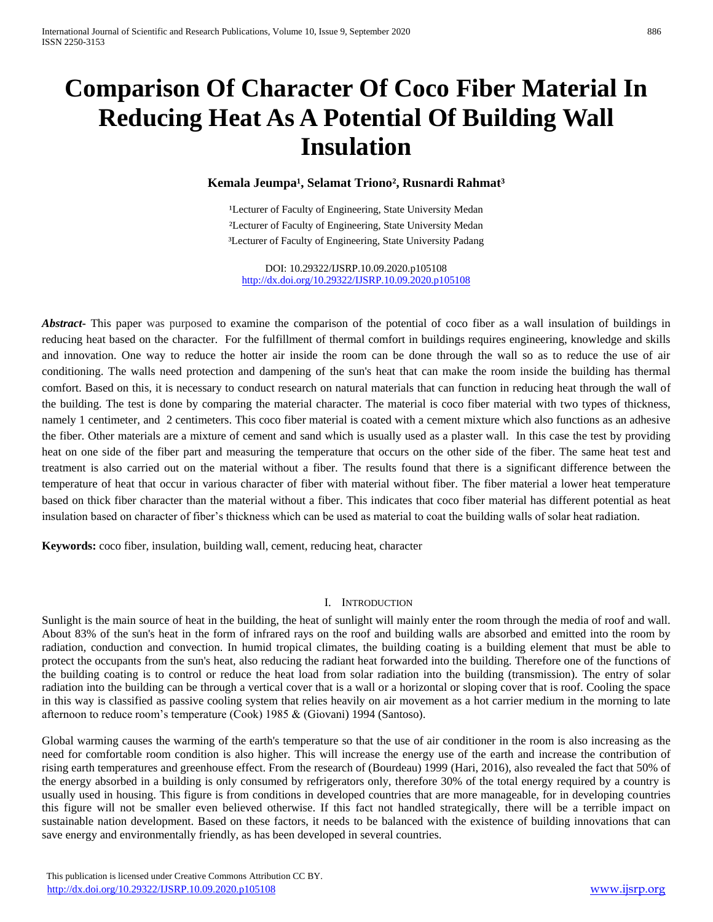# **Comparison Of Character Of Coco Fiber Material In Reducing Heat As A Potential Of Building Wall Insulation**

# Kemala Jeumpa<sup>1</sup>, Selamat Triono<sup>2</sup>, Rusnardi Rahmat<sup>3</sup>

<sup>1</sup>Lecturer of Faculty of Engineering, State University Medan ²Lecturer of Faculty of Engineering, State University Medan ³Lecturer of Faculty of Engineering, State University Padang

DOI: 10.29322/IJSRP.10.09.2020.p105108 <http://dx.doi.org/10.29322/IJSRP.10.09.2020.p105108>

*Abstract* This paper was purposed to examine the comparison of the potential of coco fiber as a wall insulation of buildings in reducing heat based on the character. For the fulfillment of thermal comfort in buildings requires engineering, knowledge and skills and innovation. One way to reduce the hotter air inside the room can be done through the wall so as to reduce the use of air conditioning. The walls need protection and dampening of the sun's heat that can make the room inside the building has thermal comfort. Based on this, it is necessary to conduct research on natural materials that can function in reducing heat through the wall of the building. The test is done by comparing the material character. The material is coco fiber material with two types of thickness, namely 1 centimeter, and 2 centimeters. This coco fiber material is coated with a cement mixture which also functions as an adhesive the fiber. Other materials are a mixture of cement and sand which is usually used as a plaster wall. In this case the test by providing heat on one side of the fiber part and measuring the temperature that occurs on the other side of the fiber. The same heat test and treatment is also carried out on the material without a fiber. The results found that there is a significant difference between the temperature of heat that occur in various character of fiber with material without fiber. The fiber material a lower heat temperature based on thick fiber character than the material without a fiber. This indicates that coco fiber material has different potential as heat insulation based on character of fiber's thickness which can be used as material to coat the building walls of solar heat radiation.

**Keywords:** coco fiber, insulation, building wall, cement, reducing heat, character

#### I. INTRODUCTION

Sunlight is the main source of heat in the building, the heat of sunlight will mainly enter the room through the media of roof and wall. About 83% of the sun's heat in the form of infrared rays on the roof and building walls are absorbed and emitted into the room by radiation, conduction and convection. In humid tropical climates, the building coating is a building element that must be able to protect the occupants from the sun's heat, also reducing the radiant heat forwarded into the building. Therefore one of the functions of the building coating is to control or reduce the heat load from solar radiation into the building (transmission). The entry of solar radiation into the building can be through a vertical cover that is a wall or a horizontal or sloping cover that is roof. Cooling the space in this way is classified as passive cooling system that relies heavily on air movement as a hot carrier medium in the morning to late afternoon to reduce room's temperature (Cook) 1985 & (Giovani) 1994 (Santoso).

Global warming causes the warming of the earth's temperature so that the use of air conditioner in the room is also increasing as the need for comfortable room condition is also higher. This will increase the energy use of the earth and increase the contribution of rising earth temperatures and greenhouse effect. From the research of (Bourdeau) 1999 (Hari, 2016), also revealed the fact that 50% of the energy absorbed in a building is only consumed by refrigerators only, therefore 30% of the total energy required by a country is usually used in housing. This figure is from conditions in developed countries that are more manageable, for in developing countries this figure will not be smaller even believed otherwise. If this fact not handled strategically, there will be a terrible impact on sustainable nation development. Based on these factors, it needs to be balanced with the existence of building innovations that can save energy and environmentally friendly, as has been developed in several countries.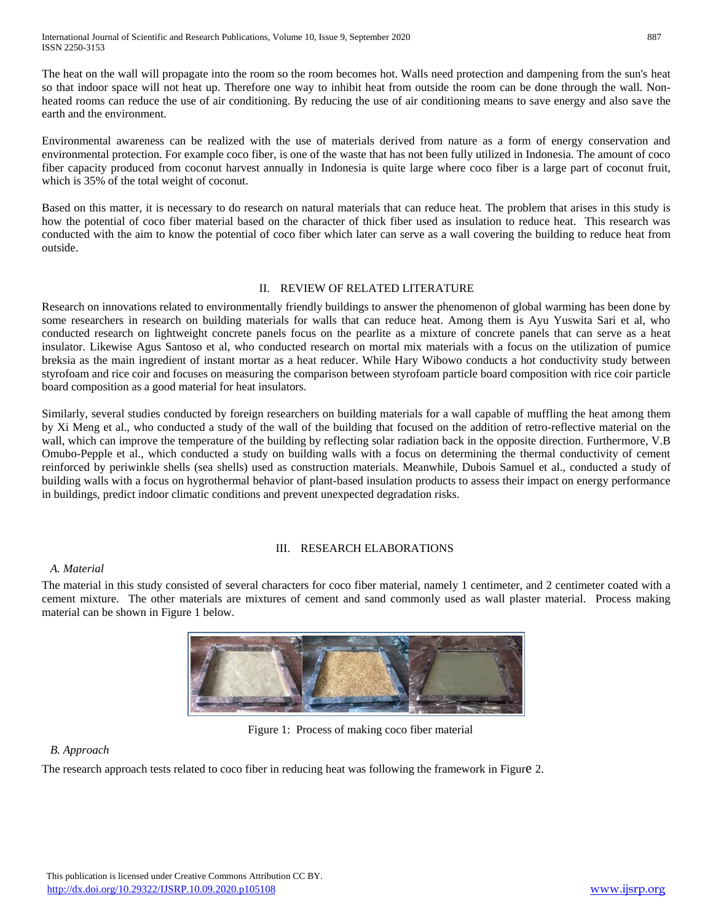The heat on the wall will propagate into the room so the room becomes hot. Walls need protection and dampening from the sun's heat so that indoor space will not heat up. Therefore one way to inhibit heat from outside the room can be done through the wall. Nonheated rooms can reduce the use of air conditioning. By reducing the use of air conditioning means to save energy and also save the earth and the environment.

Environmental awareness can be realized with the use of materials derived from nature as a form of energy conservation and environmental protection. For example coco fiber, is one of the waste that has not been fully utilized in Indonesia. The amount of coco fiber capacity produced from coconut harvest annually in Indonesia is quite large where coco fiber is a large part of coconut fruit, which is 35% of the total weight of coconut.

Based on this matter, it is necessary to do research on natural materials that can reduce heat. The problem that arises in this study is how the potential of coco fiber material based on the character of thick fiber used as insulation to reduce heat. This research was conducted with the aim to know the potential of coco fiber which later can serve as a wall covering the building to reduce heat from outside.

# II. REVIEW OF RELATED LITERATURE

Research on innovations related to environmentally friendly buildings to answer the phenomenon of global warming has been done by some researchers in research on building materials for walls that can reduce heat. Among them is Ayu Yuswita Sari et al, who conducted research on lightweight concrete panels focus on the pearlite as a mixture of concrete panels that can serve as a heat insulator. Likewise Agus Santoso et al, who conducted research on mortal mix materials with a focus on the utilization of pumice breksia as the main ingredient of instant mortar as a heat reducer. While Hary Wibowo conducts a hot conductivity study between styrofoam and rice coir and focuses on measuring the comparison between styrofoam particle board composition with rice coir particle board composition as a good material for heat insulators.

Similarly, several studies conducted by foreign researchers on building materials for a wall capable of muffling the heat among them by Xi Meng et al., who conducted a study of the wall of the building that focused on the addition of retro-reflective material on the wall, which can improve the temperature of the building by reflecting solar radiation back in the opposite direction. Furthermore, V.B Omubo-Pepple et al., which conducted a study on building walls with a focus on determining the thermal conductivity of cement reinforced by periwinkle shells (sea shells) used as construction materials. Meanwhile, Dubois Samuel et al., conducted a study of building walls with a focus on hygrothermal behavior of plant-based insulation products to assess their impact on energy performance in buildings, predict indoor climatic conditions and prevent unexpected degradation risks.

# III. RESEARCH ELABORATIONS

# *A. Material*

The material in this study consisted of several characters for coco fiber material, namely 1 centimeter, and 2 centimeter coated with a cement mixture. The other materials are mixtures of cement and sand commonly used as wall plaster material. Process making material can be shown in Figure 1 below.



Figure 1: Process of making coco fiber material

# *B. Approach*

The research approach tests related to coco fiber in reducing heat was following the framework in Figure 2.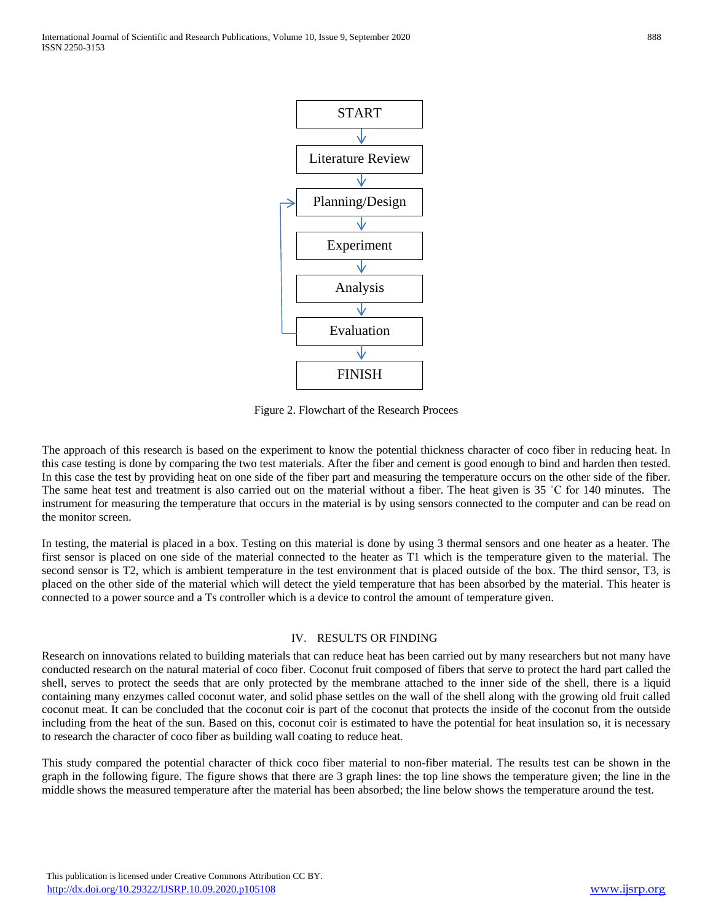

Figure 2. Flowchart of the Research Procees

The approach of this research is based on the experiment to know the potential thickness character of coco fiber in reducing heat. In this case testing is done by comparing the two test materials. After the fiber and cement is good enough to bind and harden then tested. In this case the test by providing heat on one side of the fiber part and measuring the temperature occurs on the other side of the fiber. The same heat test and treatment is also carried out on the material without a fiber. The heat given is 35 °C for 140 minutes. The instrument for measuring the temperature that occurs in the material is by using sensors connected to the computer and can be read on the monitor screen.

In testing, the material is placed in a box. Testing on this material is done by using 3 thermal sensors and one heater as a heater. The first sensor is placed on one side of the material connected to the heater as T1 which is the temperature given to the material. The second sensor is T2, which is ambient temperature in the test environment that is placed outside of the box. The third sensor, T3, is placed on the other side of the material which will detect the yield temperature that has been absorbed by the material. This heater is connected to a power source and a Ts controller which is a device to control the amount of temperature given.

#### IV. RESULTS OR FINDING

Research on innovations related to building materials that can reduce heat has been carried out by many researchers but not many have conducted research on the natural material of coco fiber. Coconut fruit composed of fibers that serve to protect the hard part called the shell, serves to protect the seeds that are only protected by the membrane attached to the inner side of the shell, there is a liquid containing many enzymes called coconut water, and solid phase settles on the wall of the shell along with the growing old fruit called coconut meat. It can be concluded that the coconut coir is part of the coconut that protects the inside of the coconut from the outside including from the heat of the sun. Based on this, coconut coir is estimated to have the potential for heat insulation so, it is necessary to research the character of coco fiber as building wall coating to reduce heat.

This study compared the potential character of thick coco fiber material to non-fiber material. The results test can be shown in the graph in the following figure. The figure shows that there are 3 graph lines: the top line shows the temperature given; the line in the middle shows the measured temperature after the material has been absorbed; the line below shows the temperature around the test.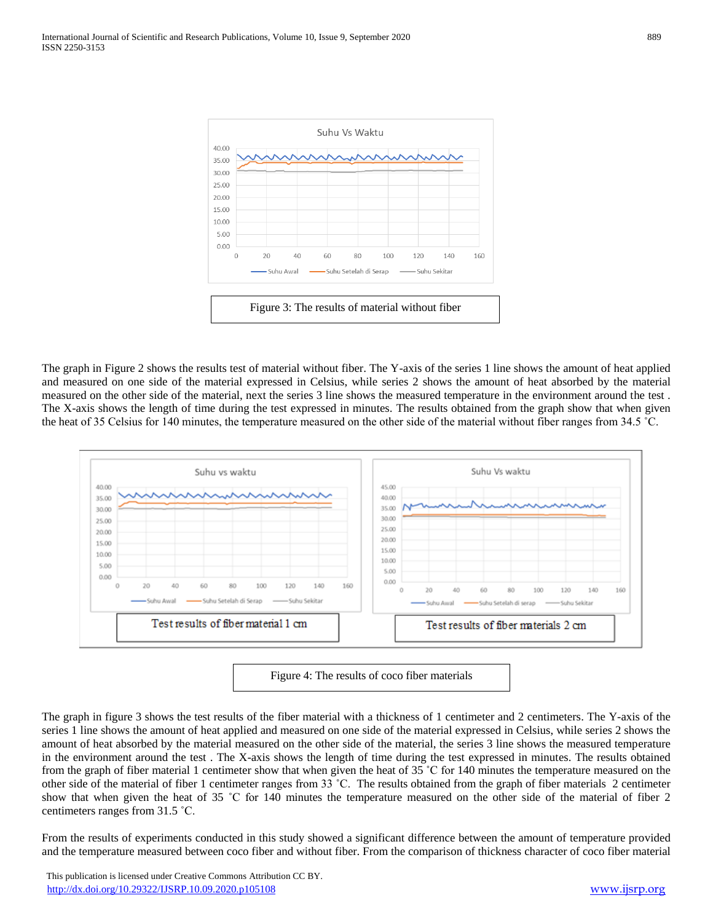

The graph in Figure 2 shows the results test of material without fiber. The Y-axis of the series 1 line shows the amount of heat applied and measured on one side of the material expressed in Celsius, while series 2 shows the amount of heat absorbed by the material measured on the other side of the material, next the series 3 line shows the measured temperature in the environment around the test . The X-axis shows the length of time during the test expressed in minutes. The results obtained from the graph show that when given the heat of 35 Celsius for 140 minutes, the temperature measured on the other side of the material without fiber ranges from 34.5 ˚C.



Figure 4: The results of coco fiber materials

The graph in figure 3 shows the test results of the fiber material with a thickness of 1 centimeter and 2 centimeters. The Y-axis of the series 1 line shows the amount of heat applied and measured on one side of the material expressed in Celsius, while series 2 shows the amount of heat absorbed by the material measured on the other side of the material, the series 3 line shows the measured temperature in the environment around the test . The X-axis shows the length of time during the test expressed in minutes. The results obtained from the graph of fiber material 1 centimeter show that when given the heat of 35 ˚C for 140 minutes the temperature measured on the other side of the material of fiber 1 centimeter ranges from 33 ˚C. The results obtained from the graph of fiber materials 2 centimeter show that when given the heat of 35 ˚C for 140 minutes the temperature measured on the other side of the material of fiber 2 centimeters ranges from 31.5 ˚C.

From the results of experiments conducted in this study showed a significant difference between the amount of temperature provided and the temperature measured between coco fiber and without fiber. From the comparison of thickness character of coco fiber material